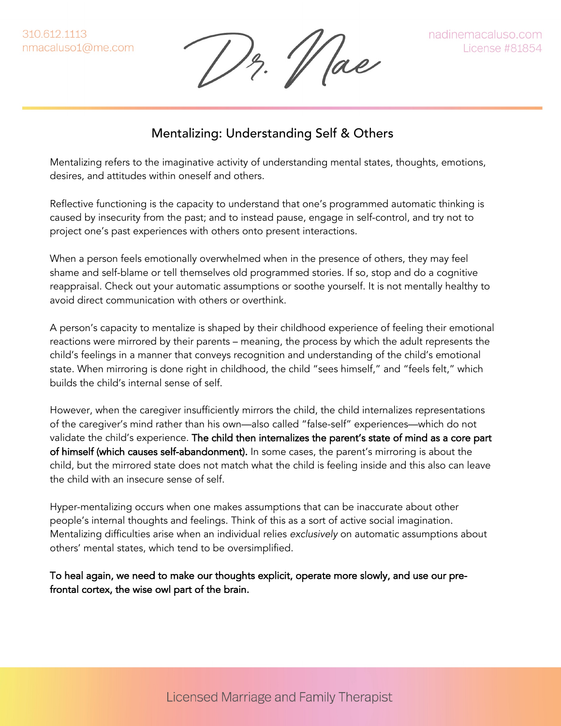Hae

## Mentalizing: Understanding Self & Others

Mentalizing refers to the imaginative activity of understanding mental states, thoughts, emotions, desires, and attitudes within oneself and others.

Reflective functioning is the capacity to understand that one's programmed automatic thinking is caused by insecurity from the past; and to instead pause, engage in self-control, and try not to project one's past experiences with others onto present interactions.

When a person feels emotionally overwhelmed when in the presence of others, they may feel shame and self-blame or tell themselves old programmed stories. If so, stop and do a cognitive reappraisal. Check out your automatic assumptions or soothe yourself. It is not mentally healthy to avoid direct communication with others or overthink.

A person's capacity to mentalize is shaped by their childhood experience of feeling their emotional reactions were mirrored by their parents – meaning, the process by which the adult represents the child's feelings in a manner that conveys recognition and understanding of the child's emotional state. When mirroring is done right in childhood, the child "sees himself," and "feels felt," which builds the child's internal sense of self.

However, when the caregiver insufficiently mirrors the child, the child internalizes representations of the caregiver's mind rather than his own—also called "false-self" experiences—which do not validate the child's experience. The child then internalizes the parent's state of mind as a core part of himself (which causes self-abandonment). In some cases, the parent's mirroring is about the child, but the mirrored state does not match what the child is feeling inside and this also can leave the child with an insecure sense of self.

Hyper-mentalizing occurs when one makes assumptions that can be inaccurate about other people's internal thoughts and feelings. Think of this as a sort of active social imagination. Mentalizing difficulties arise when an individual relies *exclusively* on automatic assumptions about others' mental states, which tend to be oversimplified.

To heal again, we need to make our thoughts explicit, operate more slowly, and use our prefrontal cortex, the wise owl part of the brain.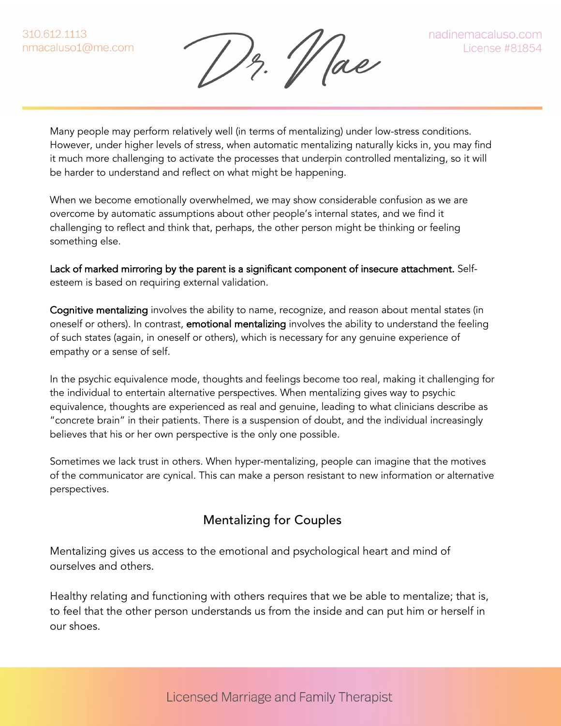12. Mae

Many people may perform relatively well (in terms of mentalizing) under low-stress conditions. However, under higher levels of stress, when automatic mentalizing naturally kicks in, you may find it much more challenging to activate the processes that underpin controlled mentalizing, so it will be harder to understand and reflect on what might be happening.

When we become emotionally overwhelmed, we may show considerable confusion as we are overcome by automatic assumptions about other people's internal states, and we find it challenging to reflect and think that, perhaps, the other person might be thinking or feeling something else.

Lack of marked mirroring by the parent is a significant component of insecure attachment. Selfesteem is based on requiring external validation.

Cognitive mentalizing involves the ability to name, recognize, and reason about mental states (in oneself or others). In contrast, **emotional mentalizing** involves the ability to understand the feeling of such states (again, in oneself or others), which is necessary for any genuine experience of empathy or a sense of self.

In the psychic equivalence mode, thoughts and feelings become too real, making it challenging for the individual to entertain alternative perspectives. When mentalizing gives way to psychic equivalence, thoughts are experienced as real and genuine, leading to what clinicians describe as "concrete brain" in their patients. There is a suspension of doubt, and the individual increasingly believes that his or her own perspective is the only one possible.

Sometimes we lack trust in others. When hyper-mentalizing, people can imagine that the motives of the communicator are cynical. This can make a person resistant to new information or alternative perspectives.

## Mentalizing for Couples

Mentalizing gives us access to the emotional and psychological heart and mind of ourselves and others.

Healthy relating and functioning with others requires that we be able to mentalize; that is, to feel that the other person understands us from the inside and can put him or herself in our shoes.